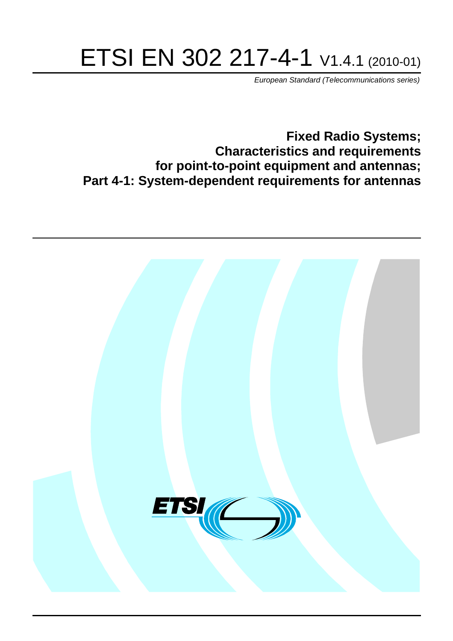# ETSI EN 302 217-4-1 V1.4.1 (2010-01)

*European Standard (Telecommunications series)*

**Fixed Radio Systems; Characteristics and requirements for point-to-point equipment and antennas; Part 4-1: System-dependent requirements for antennas**

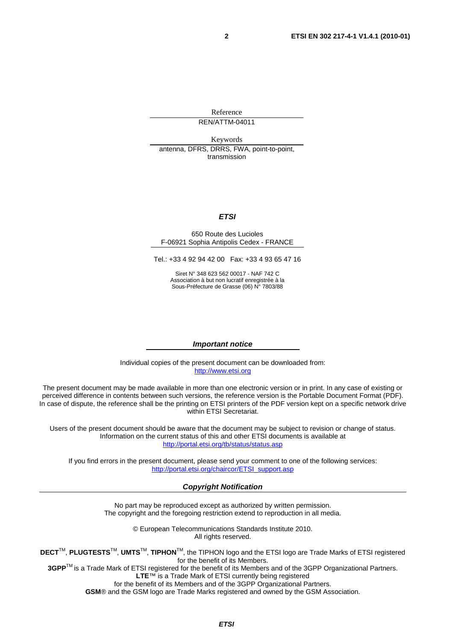Reference REN/ATTM-04011

Keywords antenna, DFRS, DRRS, FWA, point-to-point, transmission

#### *ETSI*

#### 650 Route des Lucioles F-06921 Sophia Antipolis Cedex - FRANCE

Tel.: +33 4 92 94 42 00 Fax: +33 4 93 65 47 16

Siret N° 348 623 562 00017 - NAF 742 C Association à but non lucratif enregistrée à la Sous-Préfecture de Grasse (06) N° 7803/88

#### *Important notice*

Individual copies of the present document can be downloaded from: [http://www.etsi.org](http://www.etsi.org/)

The present document may be made available in more than one electronic version or in print. In any case of existing or perceived difference in contents between such versions, the reference version is the Portable Document Format (PDF). In case of dispute, the reference shall be the printing on ETSI printers of the PDF version kept on a specific network drive within ETSI Secretariat.

Users of the present document should be aware that the document may be subject to revision or change of status. Information on the current status of this and other ETSI documents is available at <http://portal.etsi.org/tb/status/status.asp>

If you find errors in the present document, please send your comment to one of the following services: [http://portal.etsi.org/chaircor/ETSI\\_support.asp](http://portal.etsi.org/chaircor/ETSI_support.asp)

#### *Copyright Notification*

No part may be reproduced except as authorized by written permission. The copyright and the foregoing restriction extend to reproduction in all media.

> © European Telecommunications Standards Institute 2010. All rights reserved.

**DECT**TM, **PLUGTESTS**TM, **UMTS**TM, **TIPHON**TM, the TIPHON logo and the ETSI logo are Trade Marks of ETSI registered for the benefit of its Members.

**3GPP**TM is a Trade Mark of ETSI registered for the benefit of its Members and of the 3GPP Organizational Partners. **LTE**™ is a Trade Mark of ETSI currently being registered

for the benefit of its Members and of the 3GPP Organizational Partners.

**GSM**® and the GSM logo are Trade Marks registered and owned by the GSM Association.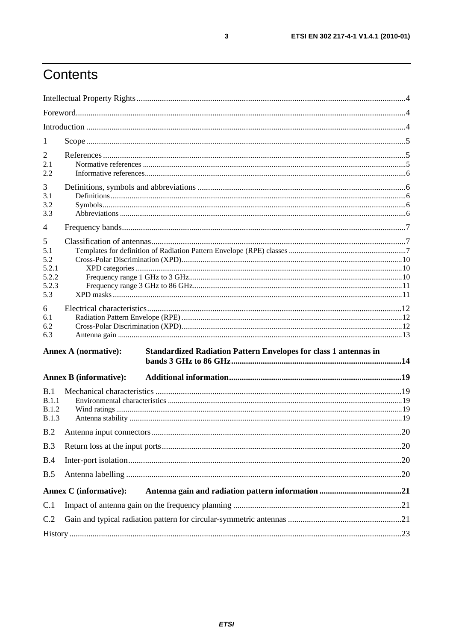# Contents

| 1                                                 |                               |                                                                         |     |  |
|---------------------------------------------------|-------------------------------|-------------------------------------------------------------------------|-----|--|
| $\overline{2}$<br>2.1<br>2.2                      |                               |                                                                         |     |  |
| 3<br>3.1<br>3.2<br>3.3                            |                               |                                                                         |     |  |
| 4                                                 |                               |                                                                         |     |  |
| 5<br>5.1<br>5.2<br>5.2.1<br>5.2.2<br>5.2.3<br>5.3 |                               |                                                                         |     |  |
| 6<br>6.1<br>6.2<br>6.3                            |                               |                                                                         |     |  |
|                                                   | <b>Annex A (normative):</b>   | <b>Standardized Radiation Pattern Envelopes for class 1 antennas in</b> |     |  |
|                                                   | <b>Annex B</b> (informative): |                                                                         |     |  |
| B.1<br>B.1.1<br><b>B.1.2</b><br><b>B.1.3</b>      |                               |                                                                         |     |  |
| B.2                                               |                               |                                                                         | .20 |  |
| B.3                                               |                               |                                                                         |     |  |
| B.4                                               |                               |                                                                         |     |  |
| B.5                                               |                               |                                                                         |     |  |
|                                                   | <b>Annex C</b> (informative): |                                                                         |     |  |
| C.1                                               |                               |                                                                         |     |  |
| C.2                                               |                               |                                                                         |     |  |
|                                                   |                               |                                                                         |     |  |

 $\mathbf{3}$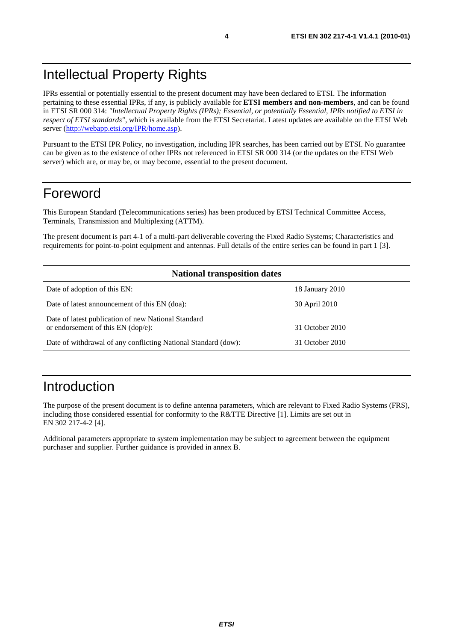IPRs essential or potentially essential to the present document may have been declared to ETSI. The information pertaining to these essential IPRs, if any, is publicly available for **ETSI members and non-members**, and can be found in ETSI SR 000 314: *"Intellectual Property Rights (IPRs); Essential, or potentially Essential, IPRs notified to ETSI in respect of ETSI standards"*, which is available from the ETSI Secretariat. Latest updates are available on the ETSI Web server [\(http://webapp.etsi.org/IPR/home.asp\)](http://webapp.etsi.org/IPR/home.asp).

Pursuant to the ETSI IPR Policy, no investigation, including IPR searches, has been carried out by ETSI. No guarantee can be given as to the existence of other IPRs not referenced in ETSI SR 000 314 (or the updates on the ETSI Web server) which are, or may be, or may become, essential to the present document.

## Foreword

This European Standard (Telecommunications series) has been produced by ETSI Technical Committee Access, Terminals, Transmission and Multiplexing (ATTM).

The present document is part 4-1 of a multi-part deliverable covering the Fixed Radio Systems; Characteristics and requirements for point-to-point equipment and antennas. Full details of the entire series can be found in part 1 [3].

| <b>National transposition dates</b>                                                       |                 |  |  |  |
|-------------------------------------------------------------------------------------------|-----------------|--|--|--|
| Date of adoption of this EN:                                                              | 18 January 2010 |  |  |  |
| Date of latest announcement of this EN (doa):                                             | 30 April 2010   |  |  |  |
| Date of latest publication of new National Standard<br>or endorsement of this EN (dop/e): | 31 October 2010 |  |  |  |
| Date of withdrawal of any conflicting National Standard (dow):                            | 31 October 2010 |  |  |  |

# Introduction

The purpose of the present document is to define antenna parameters, which are relevant to Fixed Radio Systems (FRS), including those considered essential for conformity to the R&TTE Directive [1]. Limits are set out in EN 302 217-4-2 [4].

Additional parameters appropriate to system implementation may be subject to agreement between the equipment purchaser and supplier. Further guidance is provided in annex B.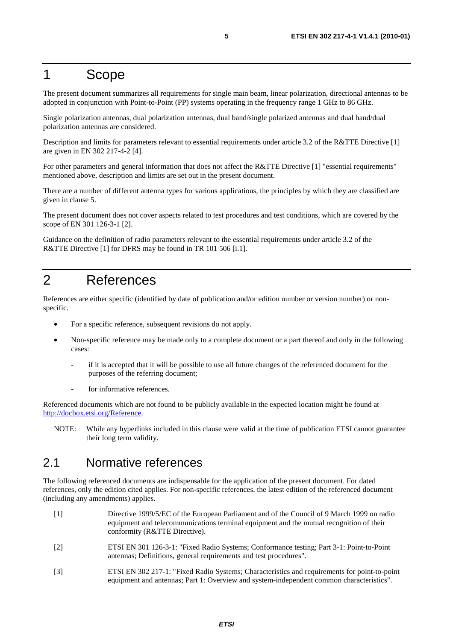## 1 Scope

The present document summarizes all requirements for single main beam, linear polarization, directional antennas to be adopted in conjunction with Point-to-Point (PP) systems operating in the frequency range 1 GHz to 86 GHz.

Single polarization antennas, dual polarization antennas, dual band/single polarized antennas and dual band/dual polarization antennas are considered.

Description and limits for parameters relevant to essential requirements under article 3.2 of the R&TTE Directive [1] are given in EN 302 217-4-2 [4].

For other parameters and general information that does not affect the R&TTE Directive [1] "essential requirements" mentioned above, description and limits are set out in the present document.

There are a number of different antenna types for various applications, the principles by which they are classified are given in clause 5.

The present document does not cover aspects related to test procedures and test conditions, which are covered by the scope of EN 301 126-3-1 [2].

Guidance on the definition of radio parameters relevant to the essential requirements under article 3.2 of the R&TTE Directive [1] for DFRS may be found in TR 101 506 [i.1].

## 2 References

References are either specific (identified by date of publication and/or edition number or version number) or nonspecific.

- For a specific reference, subsequent revisions do not apply.
- Non-specific reference may be made only to a complete document or a part thereof and only in the following cases:
	- if it is accepted that it will be possible to use all future changes of the referenced document for the purposes of the referring document;
	- for informative references.

Referenced documents which are not found to be publicly available in the expected location might be found at [http://docbox.etsi.org/Reference.](http://docbox.etsi.org/Reference)

NOTE: While any hyperlinks included in this clause were valid at the time of publication ETSI cannot guarantee their long term validity.

#### 2.1 Normative references

The following referenced documents are indispensable for the application of the present document. For dated references, only the edition cited applies. For non-specific references, the latest edition of the referenced document (including any amendments) applies.

- [1] Directive 1999/5/EC of the European Parliament and of the Council of 9 March 1999 on radio equipment and telecommunications terminal equipment and the mutual recognition of their conformity (R&TTE Directive).
- [2] ETSI EN 301 126-3-1: "Fixed Radio Systems; Conformance testing; Part 3-1: Point-to-Point antennas; Definitions, general requirements and test procedures".
- [3] ETSI EN 302 217-1: "Fixed Radio Systems; Characteristics and requirements for point-to-point equipment and antennas; Part 1: Overview and system-independent common characteristics".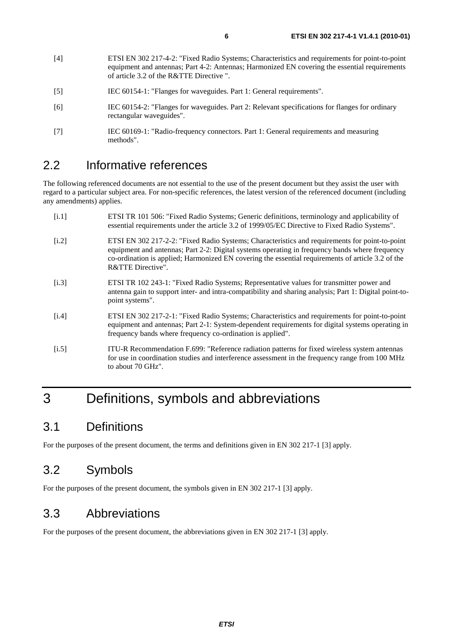- [4] ETSI EN 302 217-4-2: "Fixed Radio Systems; Characteristics and requirements for point-to-point equipment and antennas; Part 4-2: Antennas; Harmonized EN covering the essential requirements of article 3.2 of the R&TTE Directive ".
- [5] IEC 60154-1: "Flanges for waveguides. Part 1: General requirements".
- [6] IEC 60154-2: "Flanges for waveguides. Part 2: Relevant specifications for flanges for ordinary rectangular waveguides".
- [7] IEC 60169-1: "Radio-frequency connectors. Part 1: General requirements and measuring methods".

#### 2.2 Informative references

The following referenced documents are not essential to the use of the present document but they assist the user with regard to a particular subject area. For non-specific references, the latest version of the referenced document (including any amendments) applies.

- [i.1] ETSI TR 101 506: "Fixed Radio Systems; Generic definitions, terminology and applicability of essential requirements under the article 3.2 of 1999/05/EC Directive to Fixed Radio Systems".
- [i.2] ETSI EN 302 217-2-2: "Fixed Radio Systems; Characteristics and requirements for point-to-point equipment and antennas; Part 2-2: Digital systems operating in frequency bands where frequency co-ordination is applied; Harmonized EN covering the essential requirements of article 3.2 of the R&TTE Directive".
- [i.3] ETSI TR 102 243-1: "Fixed Radio Systems; Representative values for transmitter power and antenna gain to support inter- and intra-compatibility and sharing analysis; Part 1: Digital point-topoint systems".
- [i.4] ETSI EN 302 217-2-1: "Fixed Radio Systems; Characteristics and requirements for point-to-point equipment and antennas; Part 2-1: System-dependent requirements for digital systems operating in frequency bands where frequency co-ordination is applied".
- [i.5] ITU-R Recommendation F.699: "Reference radiation patterns for fixed wireless system antennas for use in coordination studies and interference assessment in the frequency range from 100 MHz to about 70 GHz".

# 3 Definitions, symbols and abbreviations

#### 3.1 Definitions

For the purposes of the present document, the terms and definitions given in EN 302 217-1 [3] apply.

#### 3.2 Symbols

For the purposes of the present document, the symbols given in EN 302 217-1 [3] apply.

#### 3.3 Abbreviations

For the purposes of the present document, the abbreviations given in EN 302 217-1 [3] apply.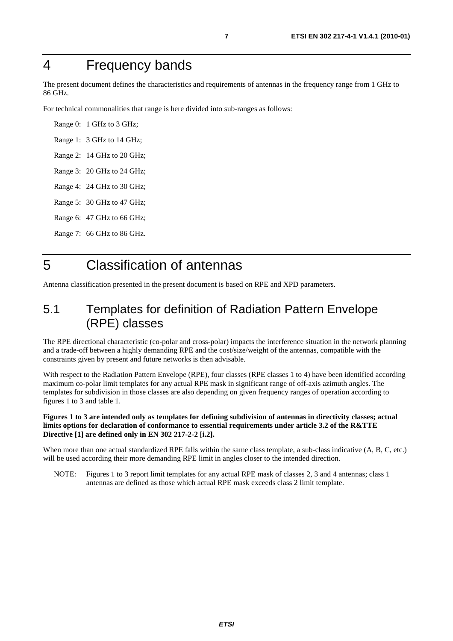# 4 Frequency bands

The present document defines the characteristics and requirements of antennas in the frequency range from 1 GHz to 86 GHz.

For technical commonalities that range is here divided into sub-ranges as follows:

Range 0: 1 GHz to 3 GHz; Range 1: 3 GHz to 14 GHz; Range 2: 14 GHz to 20 GHz; Range 3: 20 GHz to 24 GHz; Range 4: 24 GHz to 30 GHz; Range 5: 30 GHz to 47 GHz; Range 6: 47 GHz to 66 GHz; Range 7: 66 GHz to 86 GHz.

# 5 Classification of antennas

Antenna classification presented in the present document is based on RPE and XPD parameters.

## 5.1 Templates for definition of Radiation Pattern Envelope (RPE) classes

The RPE directional characteristic (co-polar and cross-polar) impacts the interference situation in the network planning and a trade-off between a highly demanding RPE and the cost/size/weight of the antennas, compatible with the constraints given by present and future networks is then advisable.

With respect to the Radiation Pattern Envelope (RPE), four classes (RPE classes 1 to 4) have been identified according maximum co-polar limit templates for any actual RPE mask in significant range of off-axis azimuth angles. The templates for subdivision in those classes are also depending on given frequency ranges of operation according to figures 1 to 3 and table 1.

#### **Figures 1 to 3 are intended only as templates for defining subdivision of antennas in directivity classes; actual limits options for declaration of conformance to essential requirements under article 3.2 of the R&TTE Directive [1] are defined only in EN 302 217-2-2 [i.2].**

When more than one actual standardized RPE falls within the same class template, a sub-class indicative  $(A, B, C, etc.)$ will be used according their more demanding RPE limit in angles closer to the intended direction.

NOTE: Figures 1 to 3 report limit templates for any actual RPE mask of classes 2, 3 and 4 antennas; class 1 antennas are defined as those which actual RPE mask exceeds class 2 limit template.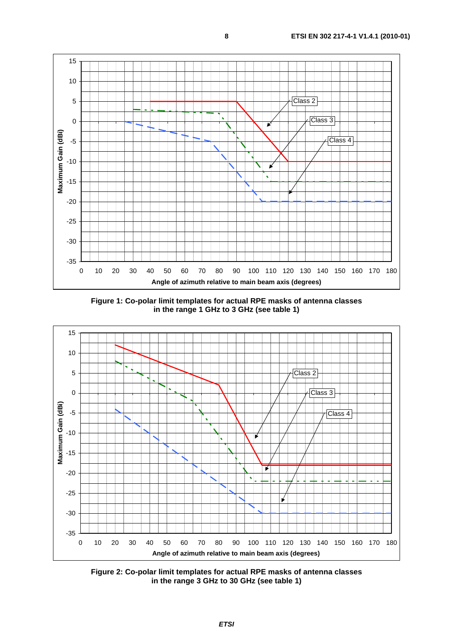

**Figure 1: Co-polar limit templates for actual RPE masks of antenna classes in the range 1 GHz to 3 GHz (see table 1)** 



**Figure 2: Co-polar limit templates for actual RPE masks of antenna classes in the range 3 GHz to 30 GHz (see table 1)**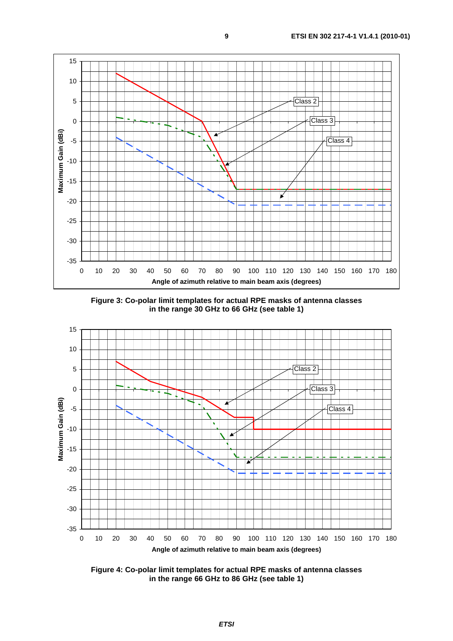

**Figure 3: Co-polar limit templates for actual RPE masks of antenna classes in the range 30 GHz to 66 GHz (see table 1)** 



**Figure 4: Co-polar limit templates for actual RPE masks of antenna classes in the range 66 GHz to 86 GHz (see table 1)**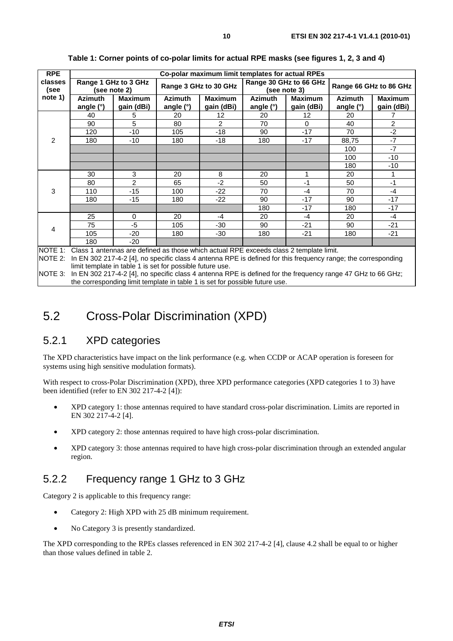| <b>RPE</b>      | Co-polar maximum limit templates for actual RPEs |                              |                             |                              |                                        |                              |                               |                              |
|-----------------|--------------------------------------------------|------------------------------|-----------------------------|------------------------------|----------------------------------------|------------------------------|-------------------------------|------------------------------|
| classes<br>(see | Range 1 GHz to 3 GHz<br>(see note 2)             |                              | Range 3 GHz to 30 GHz       |                              | Range 30 GHz to 66 GHz<br>(see note 3) |                              | Range 66 GHz to 86 GHz        |                              |
| note 1)         | <b>Azimuth</b><br>angle (°)                      | <b>Maximum</b><br>gain (dBi) | <b>Azimuth</b><br>angle (°) | <b>Maximum</b><br>gain (dBi) | <b>Azimuth</b><br>angle (°)            | <b>Maximum</b><br>gain (dBi) | <b>Azimuth</b><br>angle $(°)$ | <b>Maximum</b><br>gain (dBi) |
|                 | 40                                               | 5                            | 20                          | 12                           | 20                                     | 12                           | 20                            |                              |
|                 | 90                                               | 5                            | 80                          | 2                            | 70                                     | 0                            | 40                            | 2                            |
|                 | 120                                              | $-10$                        | 105                         | $-18$                        | 90                                     | $-17$                        | 70                            | $-2$                         |
| 2               | 180                                              | $-10$                        | 180                         | $-18$                        | 180                                    | $-17$                        | 88,75                         | $-7$                         |
|                 |                                                  |                              |                             |                              |                                        |                              | 100                           | $-7$                         |
|                 |                                                  |                              |                             |                              |                                        |                              | 100                           | $-10$                        |
|                 |                                                  |                              |                             |                              |                                        |                              | 180                           | -10                          |
|                 | 30                                               | 3                            | 20                          | 8                            | 20                                     |                              | 20                            |                              |
|                 | 80                                               | $\overline{2}$               | 65                          | $-2$                         | 50                                     | $-1$                         | 50                            | $-1$                         |
| 3               | 110                                              | $-15$                        | 100                         | -22                          | 70                                     | $-4$                         | 70                            | $-4$                         |
|                 | 180                                              | $-15$                        | 180                         | $-22$                        | 90                                     | $-17$                        | 90                            | $-17$                        |
|                 |                                                  |                              |                             |                              | 180                                    | $-17$                        | 180                           | $-17$                        |
| 4               | 25                                               | 0                            | 20                          | $-4$                         | 20                                     | $-4$                         | 20                            | $-4$                         |
|                 | 75                                               | $-5$                         | 105                         | -30                          | 90                                     | $-21$                        | 90                            | $-21$                        |
|                 | 105                                              | $-20$                        | 180                         | $-30$                        | 180                                    | $-21$                        | 180                           | $-21$                        |
| $\cdots$        | 180                                              | $-20$                        |                             | $\cdots$<br>.                | $\sim$ $\sim$                          | .                            |                               |                              |

**Table 1: Corner points of co-polar limits for actual RPE masks (see figures 1, 2, 3 and 4)** 

NOTE 1: Class 1 antennas are defined as those which actual RPE exceeds class 2 template limit.

NOTE 2: In EN 302 217-4-2 [4], no specific class 4 antenna RPE is defined for this frequency range; the corresponding limit template in table 1 is set for possible future use.

NOTE 3: In EN 302 217-4-2 [4], no specific class 4 antenna RPE is defined for the frequency range 47 GHz to 66 GHz; the corresponding limit template in table 1 is set for possible future use.

#### 5.2 Cross-Polar Discrimination (XPD)

#### 5.2.1 XPD categories

The XPD characteristics have impact on the link performance (e.g. when CCDP or ACAP operation is foreseen for systems using high sensitive modulation formats).

With respect to cross-Polar Discrimination (XPD), three XPD performance categories (XPD categories 1 to 3) have been identified (refer to EN 302 217-4-2 [4]):

- XPD category 1: those antennas required to have standard cross-polar discrimination. Limits are reported in EN 302 217-4-2 [4].
- XPD category 2: those antennas required to have high cross-polar discrimination.
- XPD category 3: those antennas required to have high cross-polar discrimination through an extended angular region.

#### 5.2.2 Frequency range 1 GHz to 3 GHz

Category 2 is applicable to this frequency range:

- Category 2: High XPD with 25 dB minimum requirement.
- No Category 3 is presently standardized.

The XPD corresponding to the RPEs classes referenced in EN 302 217-4-2 [4], clause 4.2 shall be equal to or higher than those values defined in table 2.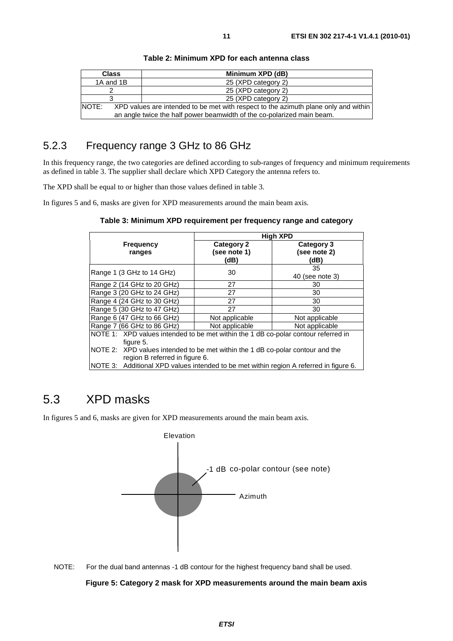| <b>Class</b>                                                           | Minimum XPD (dB)                                                                    |  |
|------------------------------------------------------------------------|-------------------------------------------------------------------------------------|--|
| 1A and 1B                                                              | 25 (XPD category 2)                                                                 |  |
|                                                                        | 25 (XPD category 2)                                                                 |  |
|                                                                        | 25 (XPD category 2)                                                                 |  |
| NOTE:                                                                  | XPD values are intended to be met with respect to the azimuth plane only and within |  |
| an angle twice the half power beamwidth of the co-polarized main beam. |                                                                                     |  |

#### **Table 2: Minimum XPD for each antenna class**

#### 5.2.3 Frequency range 3 GHz to 86 GHz

In this frequency range, the two categories are defined according to sub-ranges of frequency and minimum requirements as defined in table 3. The supplier shall declare which XPD Category the antenna refers to.

The XPD shall be equal to or higher than those values defined in table 3.

In figures 5 and 6, masks are given for XPD measurements around the main beam axis.

**Table 3: Minimum XPD requirement per frequency range and category** 

|                                                                                                                  |                                           | <b>High XPD</b>                    |  |  |  |
|------------------------------------------------------------------------------------------------------------------|-------------------------------------------|------------------------------------|--|--|--|
| <b>Frequency</b><br>ranges                                                                                       | <b>Category 2</b><br>(see note 1)<br>(dB) | Category 3<br>(see note 2)<br>(dB) |  |  |  |
| Range 1 (3 GHz to 14 GHz)                                                                                        | 30                                        | 35<br>40 (see note 3)              |  |  |  |
| Range 2 (14 GHz to 20 GHz)                                                                                       | 27                                        | 30                                 |  |  |  |
| Range 3 (20 GHz to 24 GHz)                                                                                       | 27                                        | 30                                 |  |  |  |
| Range 4 (24 GHz to 30 GHz)                                                                                       | 27                                        | 30                                 |  |  |  |
| Range 5 (30 GHz to 47 GHz)                                                                                       | 27                                        | 30                                 |  |  |  |
| Range 6 (47 GHz to 66 GHz)                                                                                       | Not applicable                            | Not applicable                     |  |  |  |
| Range 7 (66 GHz to 86 GHz)                                                                                       | Not applicable                            | Not applicable                     |  |  |  |
| NOTE 1: XPD values intended to be met within the 1 dB co-polar contour referred in<br>figure 5.                  |                                           |                                    |  |  |  |
| NOTE 2: XPD values intended to be met within the 1 dB co-polar contour and the<br>region B referred in figure 6. |                                           |                                    |  |  |  |
| NOTE 3: Additional XPD values intended to be met within region A referred in figure 6.                           |                                           |                                    |  |  |  |

## 5.3 XPD masks

In figures 5 and 6, masks are given for XPD measurements around the main beam axis.



NOTE: For the dual band antennas -1 dB contour for the highest frequency band shall be used.

#### **Figure 5: Category 2 mask for XPD measurements around the main beam axis**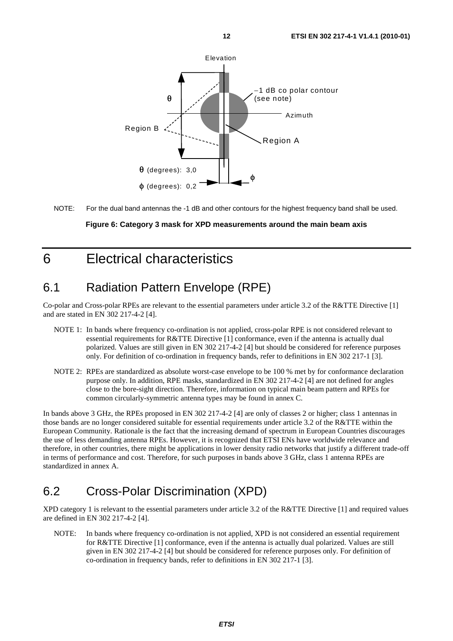

NOTE: For the dual band antennas the -1 dB and other contours for the highest frequency band shall be used.

#### **Figure 6: Category 3 mask for XPD measurements around the main beam axis**

## 6 Electrical characteristics

## 6.1 Radiation Pattern Envelope (RPE)

Co-polar and Cross-polar RPEs are relevant to the essential parameters under article 3.2 of the R&TTE Directive [1] and are stated in EN 302 217-4-2 [4].

- NOTE 1: In bands where frequency co-ordination is not applied, cross-polar RPE is not considered relevant to essential requirements for R&TTE Directive [1] conformance, even if the antenna is actually dual polarized. Values are still given in EN 302 217-4-2 [4] but should be considered for reference purposes only. For definition of co-ordination in frequency bands, refer to definitions in EN 302 217-1 [3].
- NOTE 2: RPEs are standardized as absolute worst-case envelope to be 100 % met by for conformance declaration purpose only. In addition, RPE masks, standardized in EN 302 217-4-2 [4] are not defined for angles close to the bore-sight direction. Therefore, information on typical main beam pattern and RPEs for common circularly-symmetric antenna types may be found in annex C.

In bands above 3 GHz, the RPEs proposed in EN 302 217-4-2 [4] are only of classes 2 or higher; class 1 antennas in those bands are no longer considered suitable for essential requirements under article 3.2 of the R&TTE within the European Community. Rationale is the fact that the increasing demand of spectrum in European Countries discourages the use of less demanding antenna RPEs. However, it is recognized that ETSI ENs have worldwide relevance and therefore, in other countries, there might be applications in lower density radio networks that justify a different trade-off in terms of performance and cost. Therefore, for such purposes in bands above 3 GHz, class 1 antenna RPEs are standardized in annex A.

## 6.2 Cross-Polar Discrimination (XPD)

XPD category 1 is relevant to the essential parameters under article 3.2 of the R&TTE Directive [1] and required values are defined in EN 302 217-4-2 [4].

NOTE: In bands where frequency co-ordination is not applied, XPD is not considered an essential requirement for R&TTE Directive [1] conformance, even if the antenna is actually dual polarized. Values are still given in EN 302 217-4-2 [4] but should be considered for reference purposes only. For definition of co-ordination in frequency bands, refer to definitions in EN 302 217-1 [3].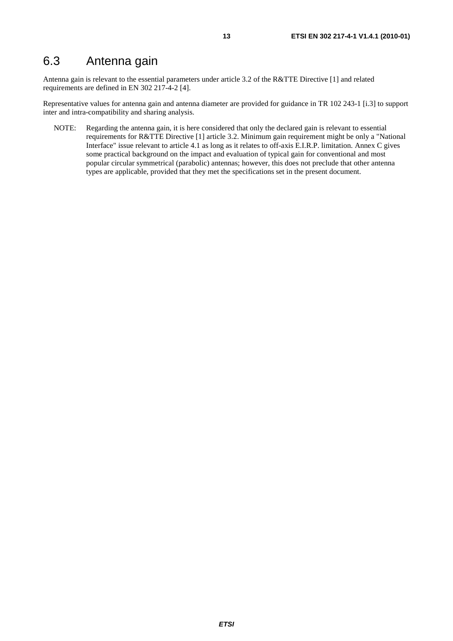Antenna gain is relevant to the essential parameters under article 3.2 of the R&TTE Directive [1] and related requirements are defined in EN 302 217-4-2 [4].

Representative values for antenna gain and antenna diameter are provided for guidance in TR 102 243-1 [i.3] to support inter and intra-compatibility and sharing analysis.

NOTE: Regarding the antenna gain, it is here considered that only the declared gain is relevant to essential requirements for R&TTE Directive [1] article 3.2. Minimum gain requirement might be only a "National Interface" issue relevant to article 4.1 as long as it relates to off-axis E.I.R.P. limitation. Annex C gives some practical background on the impact and evaluation of typical gain for conventional and most popular circular symmetrical (parabolic) antennas; however, this does not preclude that other antenna types are applicable, provided that they met the specifications set in the present document.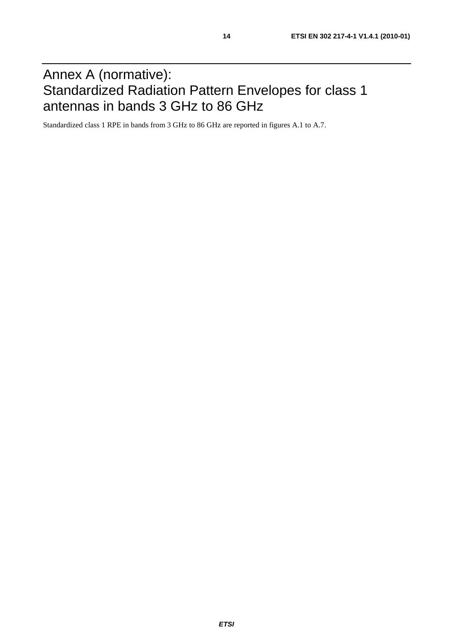# Annex A (normative): Standardized Radiation Pattern Envelopes for class 1 antennas in bands 3 GHz to 86 GHz

Standardized class 1 RPE in bands from 3 GHz to 86 GHz are reported in figures A.1 to A.7.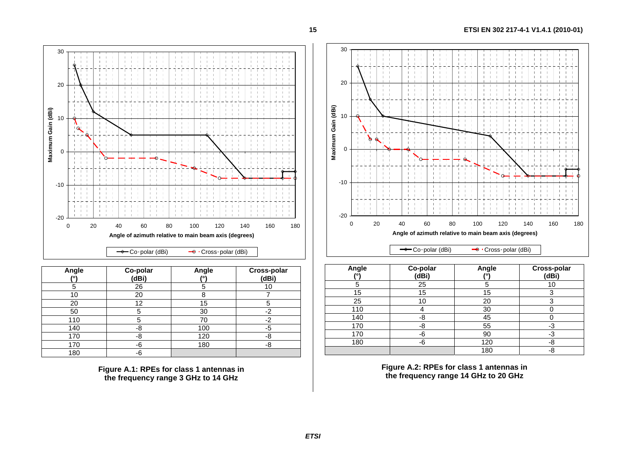

| Angle | Co-polar<br>(dBi) | Angle<br>0١ | Cross-polar<br>(dBi) |
|-------|-------------------|-------------|----------------------|
| 5     | 26                | 5           | 10                   |
| 10    | 20                |             |                      |
| 20    | 12                | 15          | 5                    |
| 50    | 5                 | 30          | $-2$                 |
| 110   | 5                 | 70          | $-2$                 |
| 140   | -8                | 100         | -5                   |
| 170   | -8                | 120         | -8                   |
| 170   | -6                | 180         | -8                   |
| 180   | -6                |             |                      |

**Figure A.1: RPEs for class 1 antennas in the frequency range 3 GHz to 14 GHz** 



| Angle<br>70 | Co-polar<br>(dBi) | Angle | Cross-polar<br>(dBi) |
|-------------|-------------------|-------|----------------------|
| 5           | 25                | 5     | 10                   |
| 15          | 15                | 15    | ◠                    |
| 25          | 10                | 20    |                      |
| 110         |                   | 30    |                      |
| 140         | -8                | 45    |                      |
| 170         | -8                | 55    | -3                   |
| 170         | -6                | 90    | -3                   |
| 180         | -6                | 120   | -8                   |
|             |                   | 180   | -8                   |

**Figure A.2: RPEs for class 1 antennas in the frequency range 14 GHz to 20 GHz**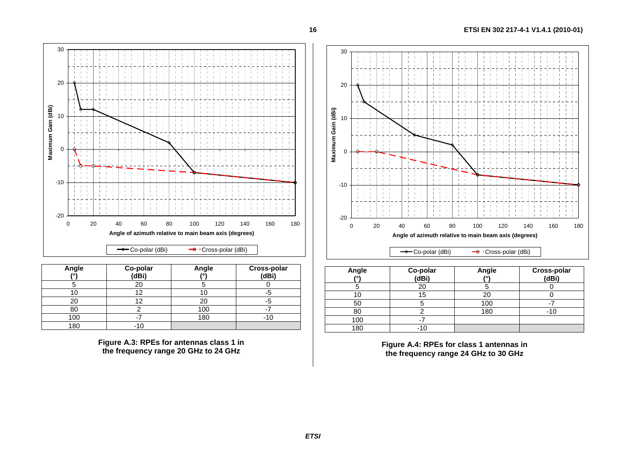

| Angle<br>$\sqrt{2}$ | Co-polar<br>(dBi) | Angle<br>$\overline{101}$ | Cross-polar<br>(dBi) |
|---------------------|-------------------|---------------------------|----------------------|
|                     | 20                |                           |                      |
|                     | ◠                 |                           |                      |
| 20                  | 2                 | 20                        |                      |
| 80                  |                   | 100                       |                      |
| 100                 |                   | 180                       |                      |
| 180                 |                   |                           |                      |

**Figure A.3: RPEs for antennas class 1 in the frequency range 20 GHz to 24 GHz** 



| Angle | Co-polar<br>(dBi) | Angle | Cross-polar<br>(dBi) |
|-------|-------------------|-------|----------------------|
|       | 20                |       |                      |
|       | 15                | 20    |                      |
| 50    |                   | 100   |                      |
| 80    |                   | 180   |                      |
| 100   |                   |       |                      |
| 180   |                   |       |                      |

**Figure A.4: RPEs for class 1 antennas in the frequency range 24 GHz to 30 GHz**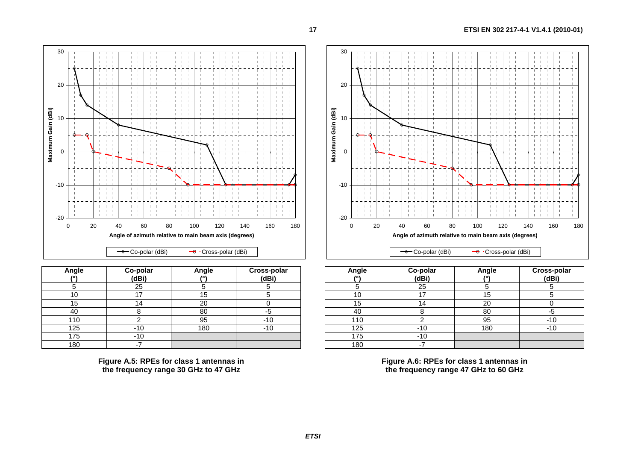

| Angle | Co-polar<br>(dBi) | Angle | Cross-polar<br>(dBi) |
|-------|-------------------|-------|----------------------|
|       | 25                | 5     |                      |
| 10    | 17                | 15    |                      |
| 15    | $\overline{4}$    | 20    |                      |
| 40    |                   | 80    | -5                   |
| 110   |                   | 95    | $-10$                |
| 125   | -10               | 180   | $-10$                |
| 175   | $-10$             |       |                      |
| 180   | -7                |       |                      |

**Figure A.5: RPEs for class 1 antennas in the frequency range 30 GHz to 47 GHz** 



| Angle | Co-polar<br>(dBi) | Angle | Cross-polar<br>(dBi) |
|-------|-------------------|-------|----------------------|
|       | 25                | 5     |                      |
| 10    | 17                | 15    |                      |
| 15    | 14                | 20    |                      |
| 40    |                   | 80    | -5                   |
| 110   |                   | 95    | $-10$                |
| 125   | $-10$             | 180   | $-10$                |
| 175   | $-10$             |       |                      |
| 180   |                   |       |                      |

**Figure A.6: RPEs for class 1 antennas in the frequency range 47 GHz to 60 GHz**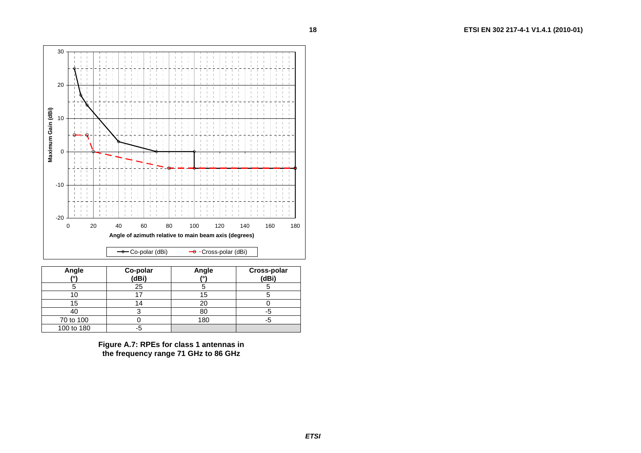

| Angle<br>$\mathbf{r}$ | Co-polar<br>(dBi) | Angle | <b>Cross-polar</b><br>(dBi) |
|-----------------------|-------------------|-------|-----------------------------|
|                       | 25                |       |                             |
|                       |                   | 15    |                             |
| 15                    | 4                 | 20    |                             |
| 40                    |                   | 80    |                             |
| 70 to 100             |                   | 180   |                             |
| 100 to 180            | ל:-               |       |                             |

**Figure A.7: RPEs for class 1 antennas in the frequency range 71 GHz to 86 GHz** 

**18**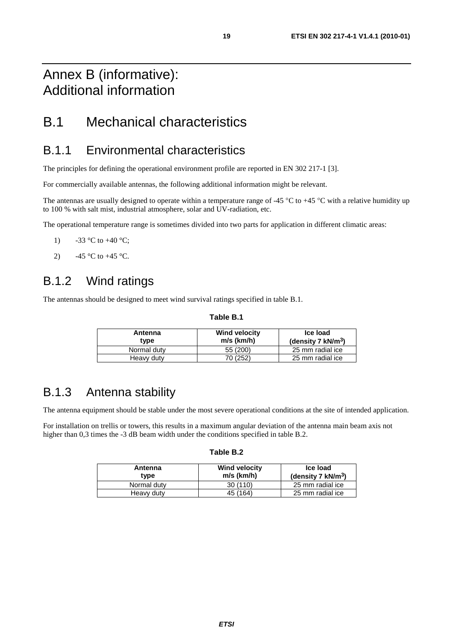# Annex B (informative): Additional information

## B.1 Mechanical characteristics

#### B.1.1 Environmental characteristics

The principles for defining the operational environment profile are reported in EN 302 217-1 [3].

For commercially available antennas, the following additional information might be relevant.

The antennas are usually designed to operate within a temperature range of -45  $\degree$ C to +45  $\degree$ C with a relative humidity up to 100 % with salt mist, industrial atmosphere, solar and UV-radiation, etc.

The operational temperature range is sometimes divided into two parts for application in different climatic areas:

- 1)  $-33 \text{ °C}$  to  $+40 \text{ °C}$ ;
- 2)  $-45 \degree C$  to  $+45 \degree C$ .

### B.1.2 Wind ratings

The antennas should be designed to meet wind survival ratings specified in table B.1.

#### **Table B.1**

| Antenna<br>tvpe | <b>Wind velocity</b><br>$m/s$ (km/h) | Ice load<br>(density 7 $kN/m^3$ ) |
|-----------------|--------------------------------------|-----------------------------------|
| Normal duty     | 55 (200)                             | 25 mm radial ice                  |
| Heavy duty      | 70 (252)                             | 25 mm radial ice                  |

### B.1.3 Antenna stability

The antenna equipment should be stable under the most severe operational conditions at the site of intended application.

For installation on trellis or towers, this results in a maximum angular deviation of the antenna main beam axis not higher than 0,3 times the -3 dB beam width under the conditions specified in table B.2.

| Antenna<br>type | <b>Wind velocity</b><br>$m/s$ (km/h) | Ice load<br>(density 7 $kN/m^3$ ) |
|-----------------|--------------------------------------|-----------------------------------|
| Normal duty     | 30(110)                              | 25 mm radial ice                  |
| Heavy duty      | 45 (164)                             | 25 mm radial ice                  |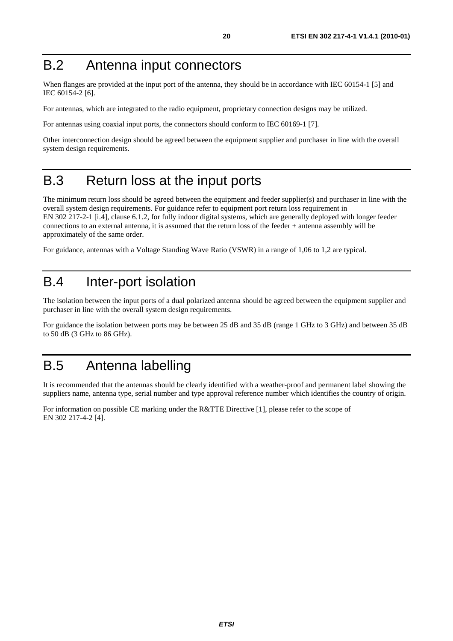# B.2 Antenna input connectors

When flanges are provided at the input port of the antenna, they should be in accordance with IEC 60154-1 [5] and IEC 60154-2 [6].

For antennas, which are integrated to the radio equipment, proprietary connection designs may be utilized.

For antennas using coaxial input ports, the connectors should conform to IEC 60169-1 [7].

Other interconnection design should be agreed between the equipment supplier and purchaser in line with the overall system design requirements.

# B.3 Return loss at the input ports

The minimum return loss should be agreed between the equipment and feeder supplier(s) and purchaser in line with the overall system design requirements. For guidance refer to equipment port return loss requirement in EN 302 217-2-1 [i.4], clause 6.1.2, for fully indoor digital systems, which are generally deployed with longer feeder connections to an external antenna, it is assumed that the return loss of the feeder + antenna assembly will be approximately of the same order.

For guidance, antennas with a Voltage Standing Wave Ratio (VSWR) in a range of 1,06 to 1,2 are typical.

# B.4 Inter-port isolation

The isolation between the input ports of a dual polarized antenna should be agreed between the equipment supplier and purchaser in line with the overall system design requirements.

For guidance the isolation between ports may be between 25 dB and 35 dB (range 1 GHz to 3 GHz) and between 35 dB to 50 dB (3 GHz to 86 GHz).

# B.5 Antenna labelling

It is recommended that the antennas should be clearly identified with a weather-proof and permanent label showing the suppliers name, antenna type, serial number and type approval reference number which identifies the country of origin.

For information on possible CE marking under the R&TTE Directive [1], please refer to the scope of EN 302 217-4-2 [4].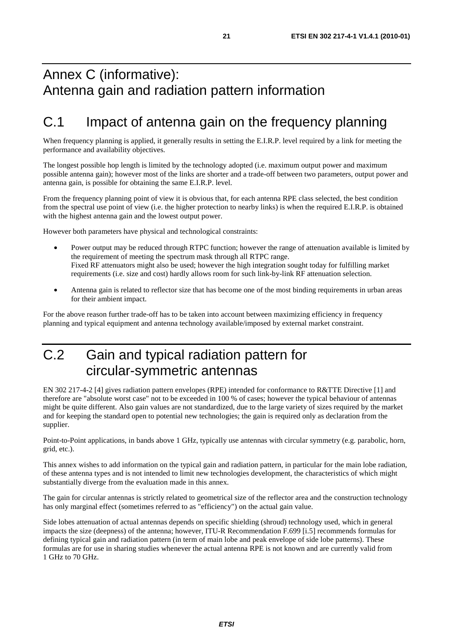# Annex C (informative): Antenna gain and radiation pattern information

# C.1 Impact of antenna gain on the frequency planning

When frequency planning is applied, it generally results in setting the E.I.R.P. level required by a link for meeting the performance and availability objectives.

The longest possible hop length is limited by the technology adopted (i.e. maximum output power and maximum possible antenna gain); however most of the links are shorter and a trade-off between two parameters, output power and antenna gain, is possible for obtaining the same E.I.R.P. level.

From the frequency planning point of view it is obvious that, for each antenna RPE class selected, the best condition from the spectral use point of view (i.e. the higher protection to nearby links) is when the required E.I.R.P. is obtained with the highest antenna gain and the lowest output power.

However both parameters have physical and technological constraints:

- Power output may be reduced through RTPC function; however the range of attenuation available is limited by the requirement of meeting the spectrum mask through all RTPC range. Fixed RF attenuators might also be used; however the high integration sought today for fulfilling market requirements (i.e. size and cost) hardly allows room for such link-by-link RF attenuation selection.
- Antenna gain is related to reflector size that has become one of the most binding requirements in urban areas for their ambient impact.

For the above reason further trade-off has to be taken into account between maximizing efficiency in frequency planning and typical equipment and antenna technology available/imposed by external market constraint.

# C.2 Gain and typical radiation pattern for circular-symmetric antennas

EN 302 217-4-2 [4] gives radiation pattern envelopes (RPE) intended for conformance to R&TTE Directive [1] and therefore are "absolute worst case" not to be exceeded in 100 % of cases; however the typical behaviour of antennas might be quite different. Also gain values are not standardized, due to the large variety of sizes required by the market and for keeping the standard open to potential new technologies; the gain is required only as declaration from the supplier.

Point-to-Point applications, in bands above 1 GHz, typically use antennas with circular symmetry (e.g. parabolic, horn, grid, etc.).

This annex wishes to add information on the typical gain and radiation pattern, in particular for the main lobe radiation, of these antenna types and is not intended to limit new technologies development, the characteristics of which might substantially diverge from the evaluation made in this annex.

The gain for circular antennas is strictly related to geometrical size of the reflector area and the construction technology has only marginal effect (sometimes referred to as "efficiency") on the actual gain value.

Side lobes attenuation of actual antennas depends on specific shielding (shroud) technology used, which in general impacts the size (deepness) of the antenna; however, ITU-R Recommendation F.699 [i.5] recommends formulas for defining typical gain and radiation pattern (in term of main lobe and peak envelope of side lobe patterns). These formulas are for use in sharing studies whenever the actual antenna RPE is not known and are currently valid from 1 GHz to 70 GHz.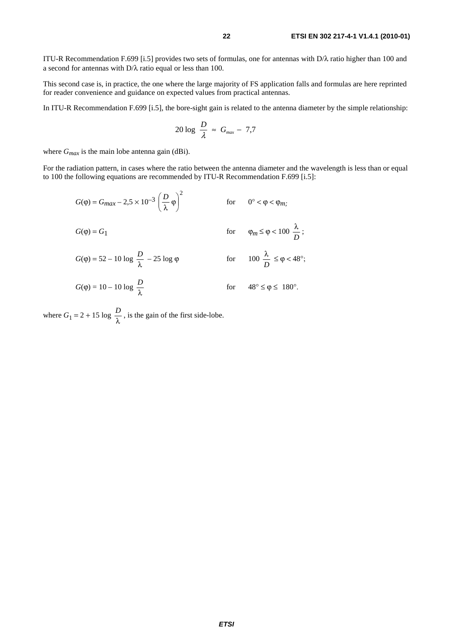ITU-R Recommendation F.699 [i.5] provides two sets of formulas, one for antennas with D/λ ratio higher than 100 and a second for antennas with D/λ ratio equal or less than 100.

This second case is, in practice, the one where the large majority of FS application falls and formulas are here reprinted for reader convenience and guidance on expected values from practical antennas.

In ITU-R Recommendation F.699 [i.5], the bore-sight gain is related to the antenna diameter by the simple relationship:

$$
20 \log \frac{D}{\lambda} \approx G_{\text{max}} - 7.7
$$

where  $G_{max}$  is the main lobe antenna gain (dBi).

For the radiation pattern, in cases where the ratio between the antenna diameter and the wavelength is less than or equal to 100 the following equations are recommended by ITU-R Recommendation F.699 [i.5]:

$$
G(\varphi) = G_{max} - 2.5 \times 10^{-3} \left(\frac{D}{\lambda}\varphi\right)^2 \qquad \text{for} \qquad 0^\circ < \varphi < \varphi_{m};
$$

$$
G(\varphi) = G_1 \qquad \qquad \text{for} \qquad \varphi_m \le \varphi < 100 \ \frac{\lambda}{D} \ ;
$$

$$
G(\varphi) = 52 - 10 \log \frac{D}{\lambda} - 25 \log \varphi \qquad \qquad \text{for} \qquad 100 \frac{\lambda}{D} \le \varphi < 48^{\circ};
$$

$$
G(\varphi) = 10 - 10 \log \frac{D}{\lambda} \qquad \qquad \text{for} \qquad 48^{\circ} \le \varphi \le 180^{\circ}.
$$

where  $G_1 = 2 + 15 \log \frac{D}{\lambda}$ , is the gain of the first side-lobe.